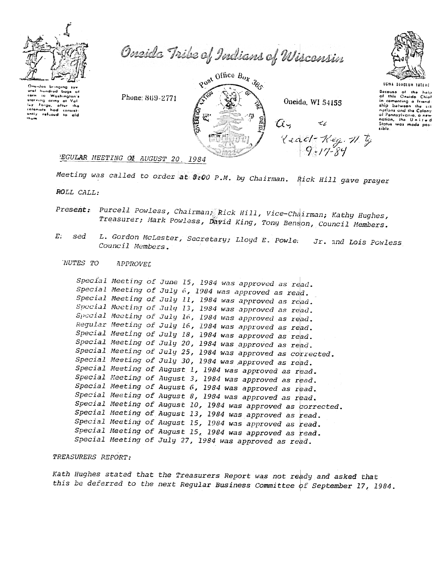

Oneidas bringing hundrud aral bugs Washington's carn io turn to massing one<br>the form of the the<br>colonials had consist-<br>only refused to aid

Oneida Tribe of Indians of Wisconsin

Post Office Box 383  $\alpha$ ,

Oneida, WI 54155

 $\tau_{\mathcal{L}}$ 

 $\frac{2}{3}$  (2001-11-49.11)



UGMA DENOIDH TATENE Decouse of the help<br>of this Oneida Chief in comenting a friend. emploins and the Colony<br>of Pannsylvania, a new<br>nation, the U.n.i.t w d<br>Status was made posaible

#### **EGULAR MEETING OF AUGUST 20** 1984

Phone: 869-2771

Meeting was called to order at 8:00 P.M. by Chairman. Rick Hill gave prayer ROLL CALL:

- Present: Purcell Powless, Chairman, Rick Hill, Vice-Chairman; Kathy Hughes, Treasurer; Mark Powless, David King, Tony Benson, Council Members.
- L. Gordon McLester, Secretary; Lloyd E. Powle.  $E_{\perp}$ sed Jr. and Lois Powless Council Members.

NUTES TO APPROVEL

> Special Meeting of June 15, 1984 was approved as read. Special Meeting of July 6, 1984 was approved as read. Special Meeting of July 11, 1984 was approved as read. Special Meeting of July 13, 1984 was approved as read. Special Meeting of July 16, 1984 was approved as read. Regular Meeting of July 16, 1984 was approved as read. Special Meeting of July 18, 1984 was approved as read. Special Meeting of July 20, 1984 was approved as read. Special Meeting of July 25, 1984 was approved as corrected. Special Meeting of July 30, 1984 was approved as read. Special Meeting of August 1, 1984 was approved as read. Special Meeting of August 3, 1984 was approved as read. Special Meeting of August 6, 1984 was approved as read. Special Meeting of August 8, 1984 was approved as read. Special Meeting of August 10, 1984 was approved as corrected. Special Meeting of August 13, 1984 was approved as read. Special Meeting of August 15, 1984 was approved as read. Special Meeting of August 15, 1984 was approved as read. Special Meeting of July 27, 1984 was approved as read.

## TREASURERS REPORT:

Kath Hughes stated that the Treasurers Report was not ready and asked that this be deferred to the next Regular Business Committee of September 17, 1984.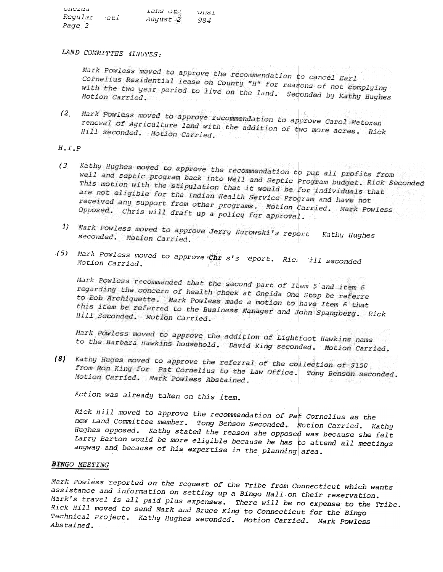$one$  $Lans$   $\sigma$  $\sim$ uist Regular eti August 2  $984$ Page 2

LAND COMMITTEE MINUTES:

Mark Powless moved to approve the recommendation to cancel Earl Cornelius Residential lease on County "H" for reasons of not complying with the two year period to live on the land. Seconded by Kathy Hughes

(2) Mark Powless moved to approve recommendation to approve Carol Metoxen renewal of Agriculture land with the addition of two more acres. Rick Hill seconded. Motion Carried.

# $H \cdot I \cdot P$

- Kathy Hughes moved to approve the recommendation to put all profits from  $(3)$ well and septic program back into Well and Septic Program budget. Rick Seconded This motion with the stipulation that it would be for individuals that are not eligible for the Indian Health Service Program and have not received any support from other programs. Motion Carried. Mark Powless Opposed. Chris will draft up a policy for approval.
- 4) Mark Powless moved to approve Jerry Kurowski's report Kathy Hughes seconded. Motion Carried.
- (5) Mark Powless moved to approve  $\operatorname{Chr}$  s's eport. Rici ill seconded Motion Carried.

Mark Powless recommended that the second part of Item 5 and item 6 regarding the concern of health check at Oneida One Stop be referre to Bob Archiquette. Mark Powless made a motion to have Item 6 that this item be referred to the Business Manager and John Spangberg. Rick Hill Seconded. Motion Carried.

Mark Powless moved to approve the addition of Light foot Hawkins name to the Barbara Hawkins household. David King seconded. Motion Carried.

(8) Kathy Huges moved to approve the referral of the collection of \$150 from Ron King for Pat Cornelius to the Law Office. Tony Benson seconded. Motion Carried. Mark Powless Abstained.

Action was already taken on this item.

Rick Hill moved to approve the recommendation of Pat Cornelius as the new Land Committee member. Tony Benson Seconded. Motion Carried. Kathy Hughes opposed. Kathy stated the reason she opposed was because she felt Larry Barton would be more eligible because he has to attend all meetings anyway and because of his expertise in the planning area.

## **BINGO MEETING**

Mark Powless reported on the request of the Tribe from Connecticut which wants assistance and information on setting up a Bingo Hall on their reservation. Mark's travel is all paid plus expenses. There will be no expense to the Tribe. Rick Hill moved to send Mark and Bruce King to Connecticut for the Bingo Technical Project. Kathy Hughes seconded. Motion Carried. Mark Powless Abstained.